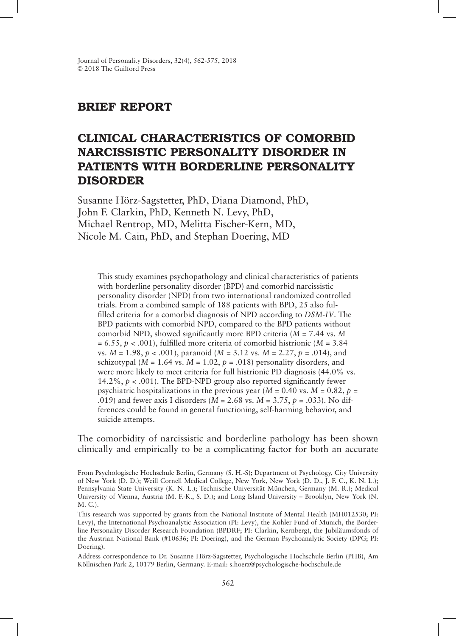# BRIEF REPORT

# CLINICAL CHARACTERISTICS OF COMORBID NARCISSISTIC PERSONALITY DISORDER IN PATIENTS WITH BORDERLINE PERSONALITY DISORDER

Susanne Hörz-Sagstetter, PhD, Diana Diamond, PhD, John F. Clarkin, PhD, Kenneth N. Levy, PhD, Michael Rentrop, MD, Melitta Fischer-Kern, MD, Nicole M. Cain, PhD, and Stephan Doering, MD

This study examines psychopathology and clinical characteristics of patients with borderline personality disorder (BPD) and comorbid narcissistic personality disorder (NPD) from two international randomized controlled trials. From a combined sample of 188 patients with BPD, 25 also fulfilled criteria for a comorbid diagnosis of NPD according to *DSM-IV*. The BPD patients with comorbid NPD, compared to the BPD patients without comorbid NPD, showed significantly more BPD criteria (*M* = 7.44 vs. *M* = 6.55, *p* < .001), fulfilled more criteria of comorbid histrionic (*M* = 3.84 vs. *M* = 1.98, *p* < .001), paranoid (*M* = 3.12 vs. *M* = 2.27, *p* = .014), and schizotypal ( $M = 1.64$  vs.  $M = 1.02$ ,  $p = .018$ ) personality disorders, and were more likely to meet criteria for full histrionic PD diagnosis (44.0% vs. 14.2%,  $p < .001$ ). The BPD-NPD group also reported significantly fewer psychiatric hospitalizations in the previous year ( $M = 0.40$  vs.  $M = 0.82$ ,  $p =$ .019) and fewer axis I disorders (*M* = 2.68 vs. *M* = 3.75, *p* = .033). No differences could be found in general functioning, self-harming behavior, and suicide attempts.

The comorbidity of narcissistic and borderline pathology has been shown clinically and empirically to be a complicating factor for both an accurate

From Psychologische Hochschule Berlin, Germany (S. H.-S); Department of Psychology, City University of New York (D. D.); Weill Cornell Medical College, New York, New York (D. D., J. F. C., K. N. L.); Pennsylvania State University (K. N. L.); Technische Universität München, Germany (M. R.); Medical University of Vienna, Austria (M. F.-K., S. D.); and Long Island University – Brooklyn, New York (N. M. C.).

This research was supported by grants from the National Institute of Mental Health (MH012530; PI: Levy), the International Psychoanalytic Association (PI: Levy), the Kohler Fund of Munich, the Borderline Personality Disorder Research Foundation (BPDRF; PI: Clarkin, Kernberg), the Jubiläumsfonds of the Austrian National Bank (#10636; PI: Doering), and the German Psychoanalytic Society (DPG; PI: Doering).

Address correspondence to Dr. Susanne Hörz-Sagstetter, Psychologische Hochschule Berlin (PHB), Am Köllnischen Park 2, 10179 Berlin, Germany. E-mail: s.hoerz@psychologische-hochschule.de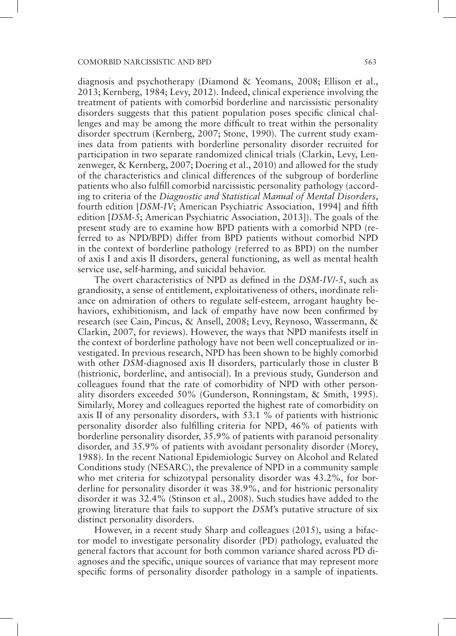diagnosis and psychotherapy (Diamond & Yeomans, 2008; Ellison et al., 2013; Kernberg, 1984; Levy, 2012). Indeed, clinical experience involving the treatment of patients with comorbid borderline and narcissistic personality disorders suggests that this patient population poses specific clinical challenges and may be among the more difficult to treat within the personality disorder spectrum (Kernberg, 2007; Stone, 1990). The current study examines data from patients with borderline personality disorder recruited for participation in two separate randomized clinical trials (Clarkin, Levy, Lenzenweger, & Kernberg, 2007; Doering et al., 2010) and allowed for the study of the characteristics and clinical differences of the subgroup of borderline patients who also fulfill comorbid narcissistic personality pathology (according to criteria of the *Diagnostic and Statistical Manual of Mental Disorders*, fourth edition [*DSM-IV*; American Psychiatric Association, 1994] and fifth edition [*DSM-5*; American Psychiatric Association, 2013]). The goals of the present study are to examine how BPD patients with a comorbid NPD (referred to as NPD/BPD) differ from BPD patients without comorbid NPD in the context of borderline pathology (referred to as BPD) on the number of axis I and axis II disorders, general functioning, as well as mental health service use, self-harming, and suicidal behavior.

The overt characteristics of NPD as defined in the *DSM-IV*/*-5*, such as grandiosity, a sense of entitlement, exploitativeness of others, inordinate reliance on admiration of others to regulate self-esteem, arrogant haughty behaviors, exhibitionism, and lack of empathy have now been confirmed by research (see Cain, Pincus, & Ansell, 2008; Levy, Reynoso, Wassermann, & Clarkin, 2007, for reviews). However, the ways that NPD manifests itself in the context of borderline pathology have not been well conceptualized or investigated. In previous research, NPD has been shown to be highly comorbid with other *DSM*-diagnosed axis II disorders, particularly those in cluster B (histrionic, borderline, and antisocial). In a previous study, Gunderson and colleagues found that the rate of comorbidity of NPD with other personality disorders exceeded 50% (Gunderson, Ronningstam, & Smith, 1995). Similarly, Morey and colleagues reported the highest rate of comorbidity on axis II of any personality disorders, with 53.1 % of patients with histrionic personality disorder also fulfilling criteria for NPD, 46% of patients with borderline personality disorder, 35.9% of patients with paranoid personality disorder, and 35.9% of patients with avoidant personality disorder (Morey, 1988). In the recent National Epidemiologic Survey on Alcohol and Related Conditions study (NESARC), the prevalence of NPD in a community sample who met criteria for schizotypal personality disorder was 43.2%, for borderline for personality disorder it was 38.9%, and for histrionic personality disorder it was 32.4% (Stinson et al., 2008). Such studies have added to the growing literature that fails to support the *DSM*'s putative structure of six distinct personality disorders.

However, in a recent study Sharp and colleagues (2015), using a bifactor model to investigate personality disorder (PD) pathology, evaluated the general factors that account for both common variance shared across PD diagnoses and the specific, unique sources of variance that may represent more specific forms of personality disorder pathology in a sample of inpatients.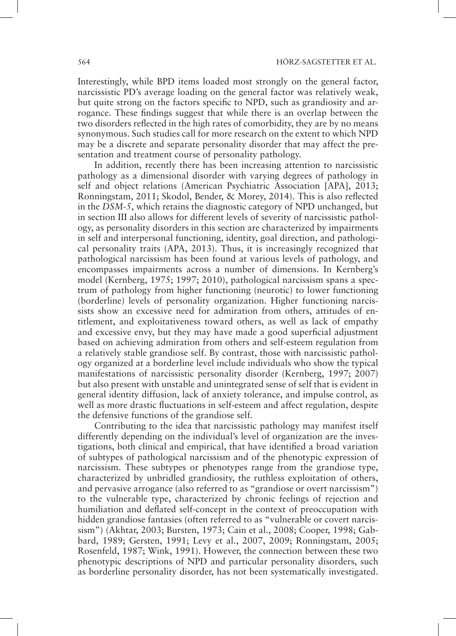Interestingly, while BPD items loaded most strongly on the general factor, narcissistic PD's average loading on the general factor was relatively weak, but quite strong on the factors specific to NPD, such as grandiosity and arrogance. These findings suggest that while there is an overlap between the two disorders reflected in the high rates of comorbidity, they are by no means synonymous. Such studies call for more research on the extent to which NPD may be a discrete and separate personality disorder that may affect the presentation and treatment course of personality pathology.

In addition, recently there has been increasing attention to narcissistic pathology as a dimensional disorder with varying degrees of pathology in self and object relations (American Psychiatric Association [APA], 2013; Ronningstam, 2011; Skodol, Bender, & Morey, 2014). This is also reflected in the *DSM-5*, which retains the diagnostic category of NPD unchanged, but in section III also allows for different levels of severity of narcissistic pathology, as personality disorders in this section are characterized by impairments in self and interpersonal functioning, identity, goal direction, and pathological personality traits (APA, 2013). Thus, it is increasingly recognized that pathological narcissism has been found at various levels of pathology, and encompasses impairments across a number of dimensions. In Kernberg's model (Kernberg, 1975; 1997; 2010), pathological narcissism spans a spectrum of pathology from higher functioning (neurotic) to lower functioning (borderline) levels of personality organization. Higher functioning narcissists show an excessive need for admiration from others, attitudes of entitlement, and exploitativeness toward others, as well as lack of empathy and excessive envy, but they may have made a good superficial adjustment based on achieving admiration from others and self-esteem regulation from a relatively stable grandiose self. By contrast, those with narcissistic pathology organized at a borderline level include individuals who show the typical manifestations of narcissistic personality disorder (Kernberg, 1997; 2007) but also present with unstable and unintegrated sense of self that is evident in general identity diffusion, lack of anxiety tolerance, and impulse control, as well as more drastic fluctuations in self-esteem and affect regulation, despite the defensive functions of the grandiose self.

Contributing to the idea that narcissistic pathology may manifest itself differently depending on the individual's level of organization are the investigations, both clinical and empirical, that have identified a broad variation of subtypes of pathological narcissism and of the phenotypic expression of narcissism. These subtypes or phenotypes range from the grandiose type, characterized by unbridled grandiosity, the ruthless exploitation of others, and pervasive arrogance (also referred to as "grandiose or overt narcissism") to the vulnerable type, characterized by chronic feelings of rejection and humiliation and deflated self-concept in the context of preoccupation with hidden grandiose fantasies (often referred to as "vulnerable or covert narcissism") (Akhtar, 2003; Bursten, 1973; Cain et al., 2008; Cooper, 1998; Gabbard, 1989; Gersten, 1991; Levy et al., 2007, 2009; Ronningstam, 2005; Rosenfeld, 1987; Wink, 1991). However, the connection between these two phenotypic descriptions of NPD and particular personality disorders, such as borderline personality disorder, has not been systematically investigated.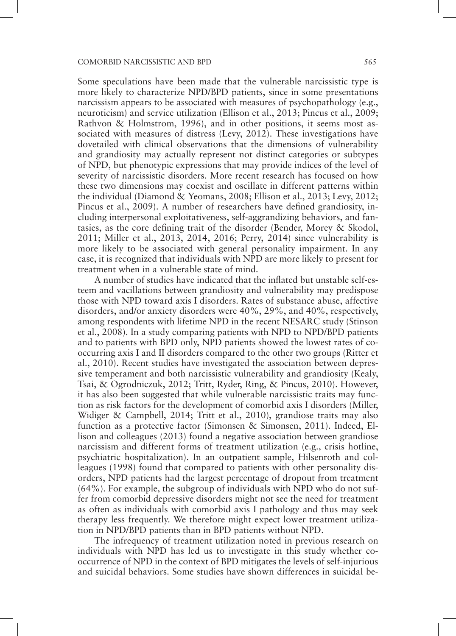Some speculations have been made that the vulnerable narcissistic type is more likely to characterize NPD/BPD patients, since in some presentations narcissism appears to be associated with measures of psychopathology (e.g., neuroticism) and service utilization (Ellison et al., 2013; Pincus et al., 2009; Rathvon & Holmstrom, 1996), and in other positions, it seems most associated with measures of distress (Levy, 2012). These investigations have dovetailed with clinical observations that the dimensions of vulnerability and grandiosity may actually represent not distinct categories or subtypes of NPD, but phenotypic expressions that may provide indices of the level of severity of narcissistic disorders. More recent research has focused on how these two dimensions may coexist and oscillate in different patterns within the individual (Diamond & Yeomans, 2008; Ellison et al., 2013; Levy, 2012; Pincus et al., 2009). A number of researchers have defined grandiosity, including interpersonal exploitativeness, self-aggrandizing behaviors, and fantasies, as the core defining trait of the disorder (Bender, Morey & Skodol, 2011; Miller et al., 2013, 2014, 2016; Perry, 2014) since vulnerability is more likely to be associated with general personality impairment. In any case, it is recognized that individuals with NPD are more likely to present for treatment when in a vulnerable state of mind.

A number of studies have indicated that the inflated but unstable self-esteem and vacillations between grandiosity and vulnerability may predispose those with NPD toward axis I disorders. Rates of substance abuse, affective disorders, and/or anxiety disorders were 40%, 29%, and 40%, respectively, among respondents with lifetime NPD in the recent NESARC study (Stinson et al., 2008). In a study comparing patients with NPD to NPD/BPD patients and to patients with BPD only, NPD patients showed the lowest rates of cooccurring axis I and II disorders compared to the other two groups (Ritter et al., 2010). Recent studies have investigated the association between depressive temperament and both narcissistic vulnerability and grandiosity (Kealy, Tsai, & Ogrodniczuk, 2012; Tritt, Ryder, Ring, & Pincus, 2010). However, it has also been suggested that while vulnerable narcissistic traits may function as risk factors for the development of comorbid axis I disorders (Miller, Widiger & Campbell, 2014; Tritt et al., 2010), grandiose traits may also function as a protective factor (Simonsen & Simonsen, 2011). Indeed, Ellison and colleagues (2013) found a negative association between grandiose narcissism and different forms of treatment utilization (e.g., crisis hotline, psychiatric hospitalization). In an outpatient sample, Hilsenroth and colleagues (1998) found that compared to patients with other personality disorders, NPD patients had the largest percentage of dropout from treatment (64%). For example, the subgroup of individuals with NPD who do not suffer from comorbid depressive disorders might not see the need for treatment as often as individuals with comorbid axis I pathology and thus may seek therapy less frequently. We therefore might expect lower treatment utilization in NPD/BPD patients than in BPD patients without NPD.

The infrequency of treatment utilization noted in previous research on individuals with NPD has led us to investigate in this study whether cooccurrence of NPD in the context of BPD mitigates the levels of self-injurious and suicidal behaviors. Some studies have shown differences in suicidal be-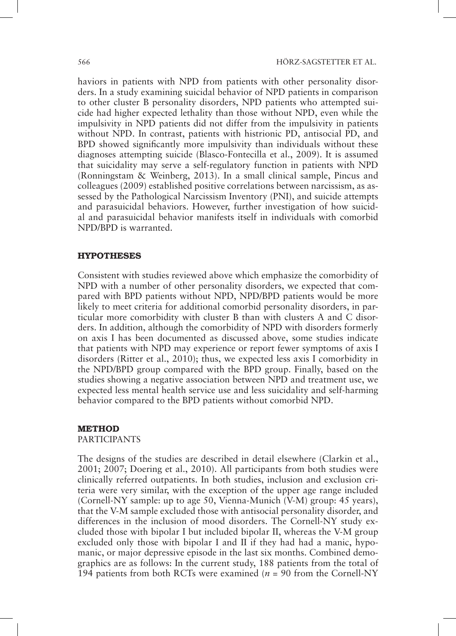haviors in patients with NPD from patients with other personality disorders. In a study examining suicidal behavior of NPD patients in comparison to other cluster B personality disorders, NPD patients who attempted suicide had higher expected lethality than those without NPD, even while the impulsivity in NPD patients did not differ from the impulsivity in patients without NPD. In contrast, patients with histrionic PD, antisocial PD, and BPD showed significantly more impulsivity than individuals without these diagnoses attempting suicide (Blasco-Fontecilla et al., 2009). It is assumed that suicidality may serve a self-regulatory function in patients with NPD (Ronningstam & Weinberg, 2013). In a small clinical sample, Pincus and colleagues (2009) established positive correlations between narcissism, as assessed by the Pathological Narcissism Inventory (PNI), and suicide attempts and parasuicidal behaviors. However, further investigation of how suicidal and parasuicidal behavior manifests itself in individuals with comorbid NPD/BPD is warranted.

#### **HYPOTHESES**

Consistent with studies reviewed above which emphasize the comorbidity of NPD with a number of other personality disorders, we expected that compared with BPD patients without NPD, NPD/BPD patients would be more likely to meet criteria for additional comorbid personality disorders, in particular more comorbidity with cluster B than with clusters A and C disorders. In addition, although the comorbidity of NPD with disorders formerly on axis I has been documented as discussed above, some studies indicate that patients with NPD may experience or report fewer symptoms of axis I disorders (Ritter et al., 2010); thus, we expected less axis I comorbidity in the NPD/BPD group compared with the BPD group. Finally, based on the studies showing a negative association between NPD and treatment use, we expected less mental health service use and less suicidality and self-harming behavior compared to the BPD patients without comorbid NPD.

# METHOD

PARTICIPANTS

The designs of the studies are described in detail elsewhere (Clarkin et al., 2001; 2007; Doering et al., 2010). All participants from both studies were clinically referred outpatients. In both studies, inclusion and exclusion criteria were very similar, with the exception of the upper age range included (Cornell-NY sample: up to age 50, Vienna-Munich (V-M) group: 45 years), that the V-M sample excluded those with antisocial personality disorder, and differences in the inclusion of mood disorders. The Cornell-NY study excluded those with bipolar I but included bipolar II, whereas the V-M group excluded only those with bipolar I and II if they had had a manic, hypomanic, or major depressive episode in the last six months. Combined demographics are as follows: In the current study, 188 patients from the total of 194 patients from both RCTs were examined (*n* = 90 from the Cornell-NY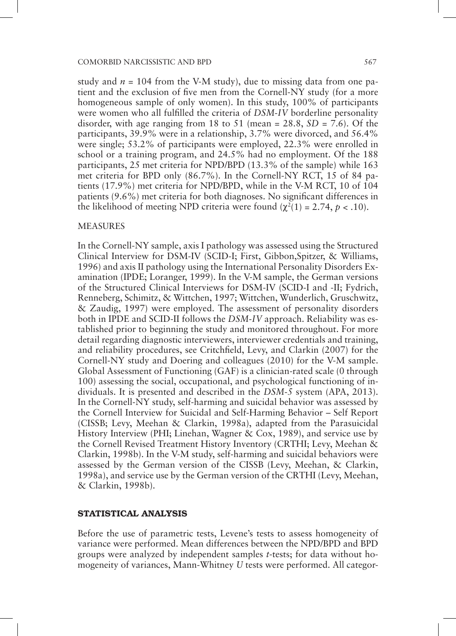study and  $n = 104$  from the V-M study), due to missing data from one patient and the exclusion of five men from the Cornell-NY study (for a more homogeneous sample of only women). In this study, 100% of participants were women who all fulfilled the criteria of *DSM-IV* borderline personality disorder, with age ranging from 18 to 51 (mean = 28.8, *SD* = 7.6). Of the participants, 39.9% were in a relationship, 3.7% were divorced, and 56.4% were single; 53.2% of participants were employed, 22.3% were enrolled in school or a training program, and 24.5% had no employment. Of the 188 participants, 25 met criteria for NPD/BPD (13.3% of the sample) while 163 met criteria for BPD only (86.7%). In the Cornell-NY RCT, 15 of 84 patients (17.9%) met criteria for NPD/BPD, while in the V-M RCT, 10 of 104 patients (9.6%) met criteria for both diagnoses. No significant differences in the likelihood of meeting NPD criteria were found  $(\chi^2(1) = 2.74, p < .10)$ .

#### MEASURES

In the Cornell-NY sample, axis I pathology was assessed using the Structured Clinical Interview for DSM-IV (SCID-I; First, Gibbon,Spitzer, & Williams, 1996) and axis II pathology using the International Personality Disorders Examination (IPDE; Loranger, 1999). In the V-M sample, the German versions of the Structured Clinical Interviews for DSM-IV (SCID-I and -II; Fydrich, Renneberg, Schimitz, & Wittchen, 1997; Wittchen, Wunderlich, Gruschwitz, & Zaudig, 1997) were employed. The assessment of personality disorders both in IPDE and SCID-II follows the *DSM-IV* approach. Reliability was established prior to beginning the study and monitored throughout. For more detail regarding diagnostic interviewers, interviewer credentials and training, and reliability procedures, see Critchfield, Levy, and Clarkin (2007) for the Cornell-NY study and Doering and colleagues (2010) for the V-M sample. Global Assessment of Functioning (GAF) is a clinician-rated scale (0 through 100) assessing the social, occupational, and psychological functioning of individuals. It is presented and described in the *DSM-5* system (APA, 2013). In the Cornell-NY study, self-harming and suicidal behavior was assessed by the Cornell Interview for Suicidal and Self-Harming Behavior – Self Report (CISSB; Levy, Meehan & Clarkin, 1998a), adapted from the Parasuicidal History Interview (PHI; Linehan, Wagner & Cox, 1989), and service use by the Cornell Revised Treatment History Inventory (CRTHI; Levy, Meehan & Clarkin, 1998b). In the V-M study, self-harming and suicidal behaviors were assessed by the German version of the CISSB (Levy, Meehan, & Clarkin, 1998a), and service use by the German version of the CRTHI (Levy, Meehan, & Clarkin, 1998b).

### STATISTICAL ANALYSIS

Before the use of parametric tests, Levene's tests to assess homogeneity of variance were performed. Mean differences between the NPD/BPD and BPD groups were analyzed by independent samples *t*-tests; for data without homogeneity of variances, Mann-Whitney *U* tests were performed. All categor-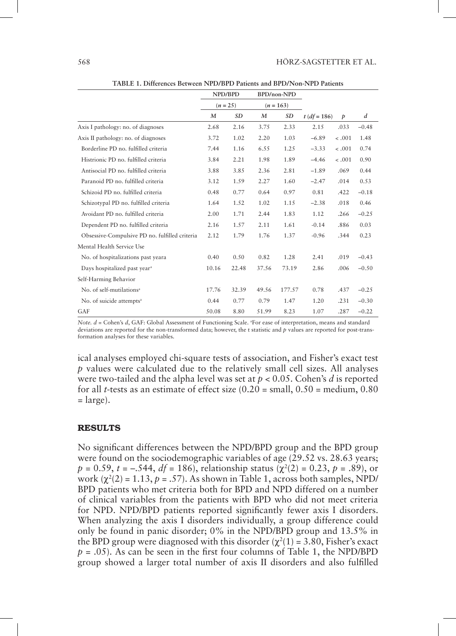|                                                | NPD/BPD<br>$(n = 25)$ |           | BPD/non-NPD<br>$(n = 163)$ |           |                |               |                |
|------------------------------------------------|-----------------------|-----------|----------------------------|-----------|----------------|---------------|----------------|
|                                                |                       |           |                            |           |                |               |                |
|                                                | M                     | <b>SD</b> | M                          | <b>SD</b> | $t (df = 186)$ | $\mathcal{P}$ | $\overline{d}$ |
| Axis I pathology: no. of diagnoses             | 2.68                  | 2.16      | 3.75                       | 2.33      | 2.15           | .033          | $-0.48$        |
| Axis II pathology: no. of diagnoses            | 3.72                  | 1.02      | 2.20                       | 1.03      | $-6.89$        | $-.001$       | 1.48           |
| Borderline PD no. fulfilled criteria           | 7.44                  | 1.16      | 6.55                       | 1.25      | $-3.33$        | $-.001$       | 0.74           |
| Histrionic PD no. fulfilled criteria           | 3.84                  | 2.21      | 1.98                       | 1.89      | $-4.46$        | $-.001$       | 0.90           |
| Antisocial PD no. fulfilled criteria           | 3.88                  | 3.85      | 2.36                       | 2.81      | $-1.89$        | .069          | 0.44           |
| Paranoid PD no. fulfilled criteria             | 3.12                  | 1.59      | 2.27                       | 1.60      | $-2.47$        | .014          | 0.53           |
| Schizoid PD no. fulfilled criteria             | 0.48                  | 0.77      | 0.64                       | 0.97      | 0.81           | .422          | $-0.18$        |
| Schizotypal PD no. fulfilled criteria          | 1.64                  | 1.52      | 1.02                       | 1.15      | $-2.38$        | .018          | 0.46           |
| Avoidant PD no. fulfilled criteria             | 2.00                  | 1.71      | 2.44                       | 1.83      | 1.12           | .266          | $-0.25$        |
| Dependent PD no. fulfilled criteria            | 2.16                  | 1.57      | 2.11                       | 1.61      | $-0.14$        | .886          | 0.03           |
| Obsessive-Compulsive PD no. fulfilled criteria | 2.12                  | 1.79      | 1.76                       | 1.37      | $-0.96$        | .344          | 0.23           |
| Mental Health Service Use                      |                       |           |                            |           |                |               |                |
| No. of hospitalizations past yeara             | 0.40                  | 0.50      | 0.82                       | 1.28      | 2.41           | .019          | $-0.43$        |
| Days hospitalized past year <sup>a</sup>       | 10.16                 | 22.48     | 37.56                      | 73.19     | 2.86           | .006          | $-0.50$        |
| Self-Harming Behavior                          |                       |           |                            |           |                |               |                |
| No. of self-mutilations <sup>a</sup>           | 17.76                 | 32.39     | 49.56                      | 177.57    | 0.78           | .437          | $-0.25$        |
| No. of suicide attempts <sup>a</sup>           | 0.44                  | 0.77      | 0.79                       | 1.47      | 1.20           | .231          | $-0.30$        |
| GAF                                            | 50.08                 | 8.80      | 51.99                      | 8.23      | 1.07           | .287          | $-0.22$        |

**TABLE 1. Differences Between NPD/BPD Patients and BPD/Non-NPD Patients**

*Note.*  $d$  = Cohen's  $d$ , GAF: Global Assessment of Functioning Scale. <sup>a</sup>For ease of interpretation, means and standard deviations are reported for the non-transformed data; however, the t statistic and *p* values are reported for post-transformation analyses for these variables.

ical analyses employed chi-square tests of association, and Fisher's exact test *p* values were calculated due to the relatively small cell sizes. All analyses were two-tailed and the alpha level was set at *p* < 0.05. Cohen's *d* is reported for all *t*-tests as an estimate of effect size (0.20 = small, 0.50 = medium, 0.80  $=$  large).

#### RESULTS

No significant differences between the NPD/BPD group and the BPD group were found on the sociodemographic variables of age  $(29.52 \text{ vs. } 28.63 \text{ years})$  $p = 0.59$ ,  $t = -.544$ ,  $df = 186$ ), relationship status ( $\chi^2(2) = 0.23$ ,  $p = .89$ ), or work  $(\chi^2(2) = 1.13, p = .57)$ . As shown in Table 1, across both samples, NPD/ BPD patients who met criteria both for BPD and NPD differed on a number of clinical variables from the patients with BPD who did not meet criteria for NPD. NPD/BPD patients reported significantly fewer axis I disorders. When analyzing the axis I disorders individually, a group difference could only be found in panic disorder; 0% in the NPD/BPD group and 13.5% in the BPD group were diagnosed with this disorder  $(\chi^2(1) = 3.80,$  Fisher's exact *p* = .05). As can be seen in the first four columns of Table 1, the NPD/BPD group showed a larger total number of axis II disorders and also fulfilled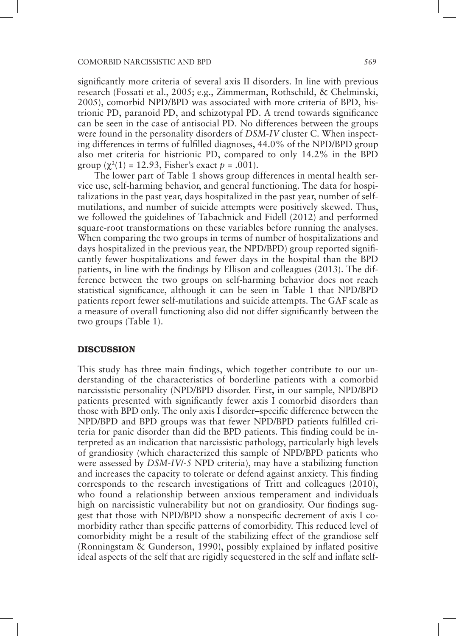significantly more criteria of several axis II disorders. In line with previous research (Fossati et al., 2005; e.g., Zimmerman, Rothschild, & Chelminski, 2005), comorbid NPD/BPD was associated with more criteria of BPD, histrionic PD, paranoid PD, and schizotypal PD. A trend towards significance can be seen in the case of antisocial PD. No differences between the groups were found in the personality disorders of *DSM-IV* cluster C. When inspecting differences in terms of fulfilled diagnoses, 44.0% of the NPD/BPD group also met criteria for histrionic PD, compared to only 14.2% in the BPD group  $(\chi^2(1) = 12.93$ , Fisher's exact  $p = .001$ ).

The lower part of Table 1 shows group differences in mental health service use, self-harming behavior, and general functioning. The data for hospitalizations in the past year, days hospitalized in the past year, number of selfmutilations, and number of suicide attempts were positively skewed. Thus, we followed the guidelines of Tabachnick and Fidell (2012) and performed square-root transformations on these variables before running the analyses. When comparing the two groups in terms of number of hospitalizations and days hospitalized in the previous year, the NPD/BPD) group reported significantly fewer hospitalizations and fewer days in the hospital than the BPD patients, in line with the findings by Ellison and colleagues (2013). The difference between the two groups on self-harming behavior does not reach statistical significance, although it can be seen in Table 1 that NPD/BPD patients report fewer self-mutilations and suicide attempts. The GAF scale as a measure of overall functioning also did not differ significantly between the two groups (Table 1).

# **DISCUSSION**

This study has three main findings, which together contribute to our understanding of the characteristics of borderline patients with a comorbid narcissistic personality (NPD/BPD disorder. First, in our sample, NPD/BPD patients presented with significantly fewer axis I comorbid disorders than those with BPD only. The only axis I disorder–specific difference between the NPD/BPD and BPD groups was that fewer NPD/BPD patients fulfilled criteria for panic disorder than did the BPD patients. This finding could be interpreted as an indication that narcissistic pathology, particularly high levels of grandiosity (which characterized this sample of NPD/BPD patients who were assessed by *DSM-IV*/*-5* NPD criteria), may have a stabilizing function and increases the capacity to tolerate or defend against anxiety. This finding corresponds to the research investigations of Tritt and colleagues (2010), who found a relationship between anxious temperament and individuals high on narcissistic vulnerability but not on grandiosity. Our findings suggest that those with NPD/BPD show a nonspecific decrement of axis I comorbidity rather than specific patterns of comorbidity. This reduced level of comorbidity might be a result of the stabilizing effect of the grandiose self (Ronningstam & Gunderson, 1990), possibly explained by inflated positive ideal aspects of the self that are rigidly sequestered in the self and inflate self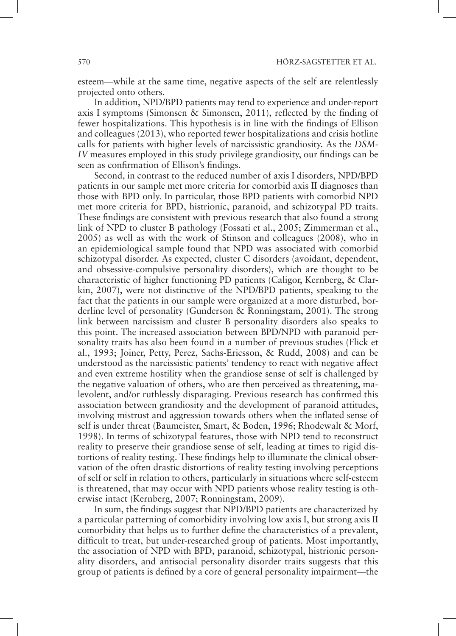esteem—while at the same time, negative aspects of the self are relentlessly projected onto others.

In addition, NPD/BPD patients may tend to experience and under-report axis I symptoms (Simonsen & Simonsen, 2011), reflected by the finding of fewer hospitalizations. This hypothesis is in line with the findings of Ellison and colleagues (2013), who reported fewer hospitalizations and crisis hotline calls for patients with higher levels of narcissistic grandiosity. As the *DSM-IV* measures employed in this study privilege grandiosity, our findings can be seen as confirmation of Ellison's findings.

Second, in contrast to the reduced number of axis I disorders, NPD/BPD patients in our sample met more criteria for comorbid axis II diagnoses than those with BPD only. In particular, those BPD patients with comorbid NPD met more criteria for BPD, histrionic, paranoid, and schizotypal PD traits. These findings are consistent with previous research that also found a strong link of NPD to cluster B pathology (Fossati et al., 2005; Zimmerman et al., 2005) as well as with the work of Stinson and colleagues (2008), who in an epidemiological sample found that NPD was associated with comorbid schizotypal disorder. As expected, cluster C disorders (avoidant, dependent, and obsessive-compulsive personality disorders), which are thought to be characteristic of higher functioning PD patients (Caligor, Kernberg, & Clarkin, 2007), were not distinctive of the NPD/BPD patients, speaking to the fact that the patients in our sample were organized at a more disturbed, borderline level of personality (Gunderson & Ronningstam, 2001). The strong link between narcissism and cluster B personality disorders also speaks to this point. The increased association between BPD/NPD with paranoid personality traits has also been found in a number of previous studies (Flick et al., 1993; Joiner, Petty, Perez, Sachs-Ericsson, & Rudd, 2008) and can be understood as the narcissistic patients' tendency to react with negative affect and even extreme hostility when the grandiose sense of self is challenged by the negative valuation of others, who are then perceived as threatening, malevolent, and/or ruthlessly disparaging. Previous research has confirmed this association between grandiosity and the development of paranoid attitudes, involving mistrust and aggression towards others when the inflated sense of self is under threat (Baumeister, Smart, & Boden, 1996; Rhodewalt & Morf, 1998). In terms of schizotypal features, those with NPD tend to reconstruct reality to preserve their grandiose sense of self, leading at times to rigid distortions of reality testing. These findings help to illuminate the clinical observation of the often drastic distortions of reality testing involving perceptions of self or self in relation to others, particularly in situations where self-esteem is threatened, that may occur with NPD patients whose reality testing is otherwise intact (Kernberg, 2007; Ronningstam, 2009).

In sum, the findings suggest that NPD/BPD patients are characterized by a particular patterning of comorbidity involving low axis I, but strong axis II comorbidity that helps us to further define the characteristics of a prevalent, difficult to treat, but under-researched group of patients. Most importantly, the association of NPD with BPD, paranoid, schizotypal, histrionic personality disorders, and antisocial personality disorder traits suggests that this group of patients is defined by a core of general personality impairment—the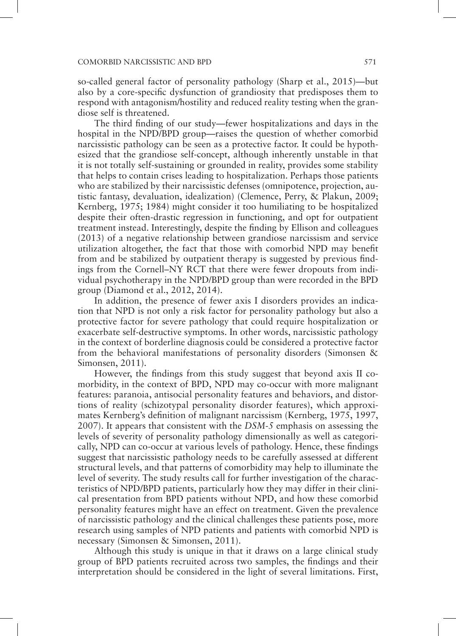so-called general factor of personality pathology (Sharp et al., 2015)—but also by a core-specific dysfunction of grandiosity that predisposes them to respond with antagonism/hostility and reduced reality testing when the grandiose self is threatened.

The third finding of our study—fewer hospitalizations and days in the hospital in the NPD/BPD group—raises the question of whether comorbid narcissistic pathology can be seen as a protective factor. It could be hypothesized that the grandiose self-concept, although inherently unstable in that it is not totally self-sustaining or grounded in reality, provides some stability that helps to contain crises leading to hospitalization. Perhaps those patients who are stabilized by their narcissistic defenses (omnipotence, projection, autistic fantasy, devaluation, idealization) (Clemence, Perry, & Plakun, 2009; Kernberg, 1975; 1984) might consider it too humiliating to be hospitalized despite their often-drastic regression in functioning, and opt for outpatient treatment instead. Interestingly, despite the finding by Ellison and colleagues (2013) of a negative relationship between grandiose narcissism and service utilization altogether, the fact that those with comorbid NPD may benefit from and be stabilized by outpatient therapy is suggested by previous findings from the Cornell–NY RCT that there were fewer dropouts from individual psychotherapy in the NPD/BPD group than were recorded in the BPD group (Diamond et al., 2012, 2014).

In addition, the presence of fewer axis I disorders provides an indication that NPD is not only a risk factor for personality pathology but also a protective factor for severe pathology that could require hospitalization or exacerbate self-destructive symptoms. In other words, narcissistic pathology in the context of borderline diagnosis could be considered a protective factor from the behavioral manifestations of personality disorders (Simonsen & Simonsen, 2011).

However, the findings from this study suggest that beyond axis II comorbidity, in the context of BPD, NPD may co-occur with more malignant features: paranoia, antisocial personality features and behaviors, and distortions of reality (schizotypal personality disorder features), which approximates Kernberg's definition of malignant narcissism (Kernberg, 1975, 1997, 2007). It appears that consistent with the *DSM-5* emphasis on assessing the levels of severity of personality pathology dimensionally as well as categorically, NPD can co-occur at various levels of pathology. Hence, these findings suggest that narcissistic pathology needs to be carefully assessed at different structural levels, and that patterns of comorbidity may help to illuminate the level of severity. The study results call for further investigation of the characteristics of NPD/BPD patients, particularly how they may differ in their clinical presentation from BPD patients without NPD, and how these comorbid personality features might have an effect on treatment. Given the prevalence of narcissistic pathology and the clinical challenges these patients pose, more research using samples of NPD patients and patients with comorbid NPD is necessary (Simonsen & Simonsen, 2011).

Although this study is unique in that it draws on a large clinical study group of BPD patients recruited across two samples, the findings and their interpretation should be considered in the light of several limitations. First,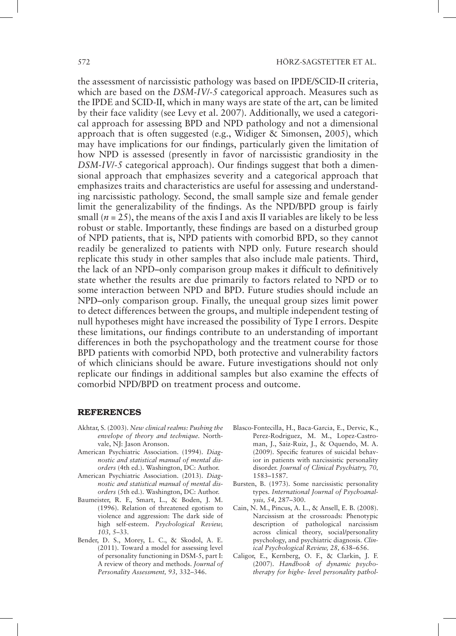the assessment of narcissistic pathology was based on IPDE/SCID-II criteria, which are based on the *DSM-IV*/*-5* categorical approach. Measures such as the IPDE and SCID-II, which in many ways are state of the art, can be limited by their face validity (see Levy et al. 2007). Additionally, we used a categorical approach for assessing BPD and NPD pathology and not a dimensional approach that is often suggested (e.g., Widiger & Simonsen, 2005), which may have implications for our findings, particularly given the limitation of how NPD is assessed (presently in favor of narcissistic grandiosity in the *DSM-IV*/*-5* categorical approach). Our findings suggest that both a dimensional approach that emphasizes severity and a categorical approach that emphasizes traits and characteristics are useful for assessing and understanding narcissistic pathology. Second, the small sample size and female gender limit the generalizability of the findings. As the NPD/BPD group is fairly small  $(n = 25)$ , the means of the axis I and axis II variables are likely to be less robust or stable. Importantly, these findings are based on a disturbed group of NPD patients, that is, NPD patients with comorbid BPD, so they cannot readily be generalized to patients with NPD only. Future research should replicate this study in other samples that also include male patients. Third, the lack of an NPD–only comparison group makes it difficult to definitively state whether the results are due primarily to factors related to NPD or to some interaction between NPD and BPD. Future studies should include an NPD–only comparison group. Finally, the unequal group sizes limit power to detect differences between the groups, and multiple independent testing of null hypotheses might have increased the possibility of Type I errors. Despite these limitations, our findings contribute to an understanding of important differences in both the psychopathology and the treatment course for those BPD patients with comorbid NPD, both protective and vulnerability factors of which clinicians should be aware. Future investigations should not only replicate our findings in additional samples but also examine the effects of comorbid NPD/BPD on treatment process and outcome.

#### REFERENCES

- Akhtar, S. (2003). *New clinical realms: Pushing the envelope of theory and technique.* Northvale, NJ: Jason Aronson.
- American Psychiatric Association. (1994). *Diagnostic and statistical manual of mental disorders* (4th ed.). Washington, DC: Author.
- American Psychiatric Association. (2013). *Diagnostic and statistical manual of mental disorders* (5th ed.). Washington, DC: Author.
- Baumeister, R. F., Smart, L., & Boden, J. M. (1996). Relation of threatened egotism to violence and aggression: The dark side of high self-esteem. *Psychological Review, 103,* 5–33.
- Bender, D. S., Morey, L. C., & Skodol, A. E. (2011). Toward a model for assessing level of personality functioning in DSM-5, part I: A review of theory and methods. *Journal of Personality Assessment, 93,* 332–346.
- Blasco-Fontecilla, H., Baca-Garcia, E., Dervic, K., Perez-Rodriguez, M. M., Lopez-Castroman, J., Saiz-Ruiz, J., & Oquendo, M. A. (2009). Specific features of suicidal behavior in patients with narcissistic personality disorder. *Journal of Clinical Psychiatry, 70,* 1583–1587.
- Bursten, B. (1973). Some narcissistic personality types. *International Journal of Psychoanalysis, 54,* 287–300.
- Cain, N. M., Pincus, A. L., & Ansell, E. B. (2008). Narcissism at the crossroads: Phenotypic description of pathological narcissism across clinical theory, social/personality psychology, and psychiatric diagnosis. *Clinical Psychological Review, 28,* 638–656.
- Caligor, E., Kernberg, O. F., & Clarkin, J. F. (2007). *Handbook of dynamic psychotherapy for highe- level personality pathol-*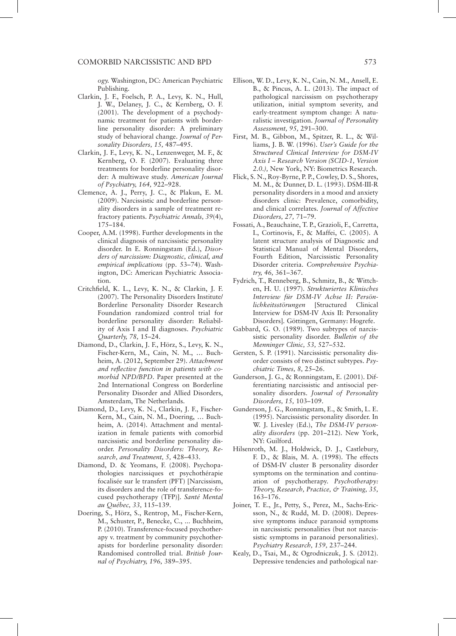*ogy.* Washington, DC: American Psychiatric Publishing.

- Clarkin, J. F., Foelsch, P. A., Levy, K. N., Hull, J. W., Delaney, J. C., & Kernberg, O. F. (2001). The development of a psychodynamic treatment for patients with borderline personality disorder: A preliminary study of behavioral change. *Journal of Personality Disorders, 15,* 487–495.
- Clarkin, J. F., Levy, K. N., Lenzenweger, M. F., & Kernberg, O. F. (2007). Evaluating three treatments for borderline personality disorder: A multiwave study. *American Journal of Psychiatry, 164,* 922–928.
- Clemence, A. J., Perry, J. C., & Plakun, E. M. (2009). Narcissistic and borderline personality disorders in a sample of treatment refractory patients. *Psychiatric Annals, 39*(4), 175–184.
- Cooper, A.M. (1998). Further developments in the clinical diagnosis of narcissistic personality disorder. In E. Ronningstam (Ed.), *Disorders of narcissism: Diagnostic, clinical, and empirical implications* (pp. 53–74). Washington, DC: American Psychiatric Association.
- Critchfield, K. L., Levy, K. N., & Clarkin, J. F. (2007). The Personality Disorders Institute/ Borderline Personality Disorder Research Foundation randomized control trial for borderline personality disorder: Reliability of Axis I and II diagnoses. *Psychiatric Quarterly, 78,* 15–24.
- Diamond, D., Clarkin, J. F., Hörz, S., Levy, K. N., Fischer-Kern, M., Cain, N. M., … Buchheim, A. (2012, September 29). *Attachment and reflective function in patients with comorbid NPD/BPD*. Paper presented at the 2nd International Congress on Borderline Personality Disorder and Allied Disorders, Amsterdam, The Netherlands.
- Diamond, D., Levy, K. N., Clarkin, J. F., Fischer-Kern, M., Cain, N. M., Doering, … Buchheim, A. (2014). Attachment and mentalization in female patients with comorbid narcissistic and borderline personality disorder. *Personality Disorders: Theory, Research, and Treatment, 5,* 428–433.
- Diamond, D. & Yeomans, F. (2008). Psychopathologies narcissiques et psychothérapie focalisée sur le transfert (PFT) [Narcissism, its disorders and the role of transference-focused psychotherapy (TFP)]. *Santé Mental au Québec, 33,* 115–139.
- Doering, S., Hörz, S., Rentrop, M., Fischer-Kern, M., Schuster, P., Benecke, C., ... Buchheim, P. (2010). Transference-focused psychotherapy v. treatment by community psychotherapists for borderline personality disorder: Randomised controlled trial. *British Journal of Psychiatry, 196,* 389–395.
- Ellison, W. D., Levy, K. N., Cain, N. M., Ansell, E. B., & Pincus, A. L. (2013). The impact of pathological narcissism on psychotherapy utilization, initial symptom severity, and early-treatment symptom change: A naturalistic investigation. *Journal of Personality Assessment, 95,* 291–300.
- First, M. B., Gibbon, M., Spitzer, R. L., & Williams, J. B. W. (1996). *User's Guide for the Structured Clinical Interview for DSM-IV Axis I – Research Version (SCID-1, Version 2.0.),* New York, NY: Biometrics Research.
- Flick, S. N., Roy-Byrne, P. P., Cowley, D. S., Shores, M. M., & Dunner, D. L. (1993). DSM-III-R personality disorders in a mood and anxiety disorders clinic: Prevalence, comorbidity, and clinical correlates. *Journal of Affective Disorders, 27,* 71–79.
- Fossati, A., Beauchaine, T. P., Grazioli, F., Carretta, I., Cortinovis, F., & Maffei, C. (2005). A latent structure analysis of Diagnostic and Statistical Manual of Mental Disorders, Fourth Edition, Narcissistic Personality Disorder criteria. *Comprehensive Psychiatry, 46,* 361–367.
- Fydrich, T., Renneberg, B., Schmitz, B., & Wittchen, H. U. (1997). *Strukturiertes Klinisches Interview für DSM-IV Achse II: Persönlichkeitsstörungen* [Structured Clinical Interview for DSM-IV Axis II: Personality Disorders]*.* Göttingen, Germany: Hogrefe.
- Gabbard, G. O. (1989). Two subtypes of narcissistic personality disorder. *Bulletin of the Menninger Clinic, 53,* 527–532.
- Gersten, S. P. (1991). Narcissistic personality disorder consists of two distinct subtypes. *Psychiatric Times, 8,* 25–26.
- Gunderson, J. G., & Ronningstam, E. (2001). Differentiating narcissistic and antisocial personality disorders. *Journal of Personality Disorders, 15,* 103–109.
- Gunderson, J. G., Ronningstam, E., & Smith, L. E. (1995). Narcissistic personality disorder. In W. J. Livesley (Ed.), *The DSM-IV personality disorders* (pp. 201–212). New York, NY: Guilford.
- Hilsenroth, M. J., Holdwick, D. J., Castlebury, F. D., & Blais, M. A. (1998). The effects of DSM-IV cluster B personality disorder symptoms on the termination and continuation of psychotherapy. *Psychotherapy: Theory, Research, Practice, & Training, 35,* 163–176.
- Joiner, T. E., Jr., Petty, S., Perez, M., Sachs-Ericsson, N., & Rudd, M. D. (2008). Depressive symptoms induce paranoid symptoms in narcissistic personalities (but not narcissistic symptoms in paranoid personalities). *Psychiatry Research, 159,* 237–244.
- Kealy, D., Tsai, M., & Ogrodniczuk, J. S. (2012). Depressive tendencies and pathological nar-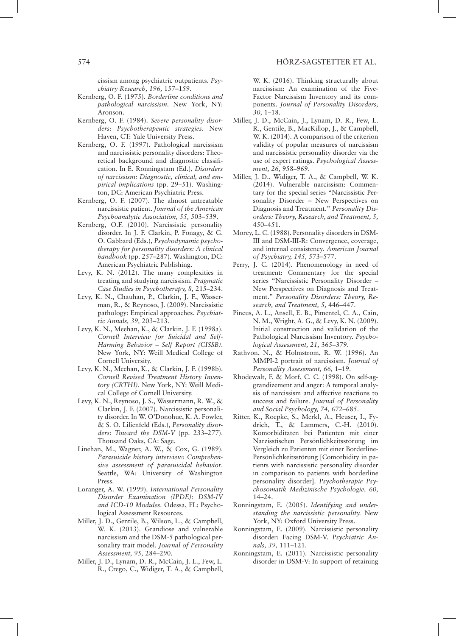cissism among psychiatric outpatients. *Psychiatry Research, 196,* 157–159.

- Kernberg, O. F. (1975). *Borderline conditions and pathological narcissism.* New York, NY: Aronson.
- Kernberg, O. F. (1984). *Severe personality disorders: Psychotherapeutic strategies.* New Haven, CT: Yale University Press.
- Kernberg, O. F. (1997). Pathological narcissism and narcissistic personality disorders: Theoretical background and diagnostic classification. In E. Ronningstam (Ed.), *Disorders of narcissism: Diagnostic, clinical, and empirical implications* (pp. 29–51). Washington, DC: American Psychiatric Press.
- Kernberg, O. F. (2007). The almost untreatable narcissistic patient. *Journal of the American Psychoanalytic Association, 55,* 503–539.
- Kernberg, O.F. (2010). Narcissistic personality disorder. In J. F. Clarkin, P. Fonagy, & G. O. Gabbard (Eds.), *Psychodynamic psychotherapy for personality disorders: A clinical handbook* (pp. 257–287). Washington, DC: American Psychiatric Publishing.
- Levy, K. N. (2012). The many complexities in treating and studying narcissism. *Pragmatic Case Studies in Psychotherapy, 8,* 215–234.
- Levy, K. N., Chauhan, P., Clarkin, J. F., Wasserman, R., & Reynoso, J. (2009). Narcissistic pathology: Empirical approaches. *Psychiatric Annals, 39,* 203–213.
- Levy, K. N., Meehan, K., & Clarkin, J. F. (1998a). *Cornell Interview for Suicidal and Self-Harming Behavior – Self Report (CISSB)*. New York, NY: Weill Medical College of Cornell University.
- Levy, K. N., Meehan, K., & Clarkin, J. F. (1998b). *Cornell Revised Treatment History Inventory (CRTHI)*. New York, NY: Weill Medical College of Cornell University.
- Levy, K. N., Reynoso, J. S., Wassermann, R. W., & Clarkin, J. F. (2007). Narcissistic personality disorder. In W. O'Donohue, K. A. Fowler, & S. O. Lilienfeld (Eds.), *Personality disorders: Toward the DSM-V* (pp. 233–277). Thousand Oaks, CA: Sage.
- Linehan, M., Wagner, A. W., & Cox, G. (1989). *Parasuicide history interview: Comprehensive assessment of parasuicidal behavior*. Seattle, WA: University of Washington Press.
- Loranger, A. W. (1999). *International Personality Disorder Examination (IPDE): DSM-IV and ICD-10 Modules.* Odessa, FL: Psychological Assessment Resources.
- Miller, J. D., Gentile, B., Wilson, L., & Campbell, W. K. (2013). Grandiose and vulnerable narcissism and the DSM-5 pathological personality trait model. *Journal of Personality Assessment, 95,* 284–290.
- Miller, J. D., Lynam, D. R., McCain, J. L., Few, L. R., Crego, C., Widiger, T. A., & Campbell,

W. K. (2016). Thinking structurally about narcissism: An examination of the Five-Factor Narcissism Inventory and its components. *Journal of Personality Disorders, 30,* 1–18.

- Miller, J. D., McCain, J., Lynam, D. R., Few, L. R., Gentile, B., MacKillop, J., & Campbell, W. K. (2014). A comparison of the criterion validity of popular measures of narcissism and narcissistic personality disorder via the use of expert ratings. *Psychological Assessment, 26,* 958–969.
- Miller, J. D., Widiger, T. A., & Campbell, W. K. (2014). Vulnerable narcissism: Commentary for the special series "Narcissistic Personality Disorder – New Perspectives on Diagnosis and Treatment." *Personality Disorders: Theory, Research, and Treatment, 5,* 450–451.
- Morey, L. C. (1988). Personality disorders in DSM-III and DSM-III-R: Convergence, coverage, and internal consistency. *American Journal of Psychiatry, 145,* 573–577.
- Perry, J. C. (2014). Phenomenology in need of treatment: Commentary for the special series "Narcissistic Personality Disorder – New Perspectives on Diagnosis and Treatment." *Personality Disorders: Theory, Research, and Treatment, 5,* 446–447.
- Pincus, A. L., Ansell, E. B., Pimentel, C. A., Cain, N. M., Wright, A. G., & Levy, K. N. (2009). Initial construction and validation of the Pathological Narcissism Inventory. *Psychological Assessment, 21,* 365–379.
- Rathvon, N., & Holmstrom, R. W. (1996). An MMPI-2 portrait of narcissism. *Journal of Personality Assessment, 66,* 1–19.
- Rhodewalt, F. & Morf, C. C. (1998). On self-aggrandizement and anger: A temporal analysis of narcissism and affective reactions to success and failure. *Journal of Personality and Social Psychology, 74,* 672–685.
- Ritter, K., Roepke, S., Merkl, A., Heuser, I., Fydrich, T., & Lammers, C.-H. (2010). Komorbiditäten bei Patienten mit einer Narzisstischen Persönlichkeitsstörung im Vergleich zu Patienten mit einer Borderline-Persönlichkeitsstörung [Comorbidity in patients with narcissistic personality disorder in comparison to patients with borderline personality disorder]. *Psychotherapie Psychosomatik Medizinische Psychologie, 60,* 14–24.
- Ronningstam, E. (2005). *Identifying and understanding the narcissistic personality.* New York, NY: Oxford University Press.
- Ronningstam, E. (2009). Narcissistic personality disorder: Facing DSM-V. *Psychiatric Annals, 39,* 111–121.
- Ronningstam, E. (2011). Narcissistic personality disorder in DSM-V: In support of retaining